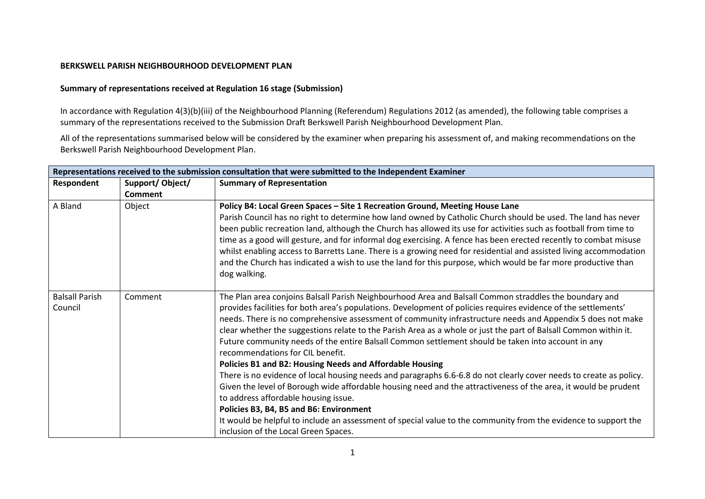## **BERKSWELL PARISH NEIGHBOURHOOD DEVELOPMENT PLAN**

## **Summary of representations received at Regulation 16 stage (Submission)**

In accordance with Regulation 4(3)(b)(iii) of the Neighbourhood Planning (Referendum) Regulations 2012 (as amended), the following table comprises a summary of the representations received to the Submission Draft Berkswell Parish Neighbourhood Development Plan.

All of the representations summarised below will be considered by the examiner when preparing his assessment of, and making recommendations on the Berkswell Parish Neighbourhood Development Plan.

| Representations received to the submission consultation that were submitted to the Independent Examiner |                 |                                                                                                                                                                                                                                                                                                                                                                                                                                                                                                                                                                                                                                                                                                                                                                                                                                                                                                                                                                                                                                                                                                                                                         |
|---------------------------------------------------------------------------------------------------------|-----------------|---------------------------------------------------------------------------------------------------------------------------------------------------------------------------------------------------------------------------------------------------------------------------------------------------------------------------------------------------------------------------------------------------------------------------------------------------------------------------------------------------------------------------------------------------------------------------------------------------------------------------------------------------------------------------------------------------------------------------------------------------------------------------------------------------------------------------------------------------------------------------------------------------------------------------------------------------------------------------------------------------------------------------------------------------------------------------------------------------------------------------------------------------------|
| Respondent                                                                                              | Support/Object/ | <b>Summary of Representation</b>                                                                                                                                                                                                                                                                                                                                                                                                                                                                                                                                                                                                                                                                                                                                                                                                                                                                                                                                                                                                                                                                                                                        |
|                                                                                                         | <b>Comment</b>  |                                                                                                                                                                                                                                                                                                                                                                                                                                                                                                                                                                                                                                                                                                                                                                                                                                                                                                                                                                                                                                                                                                                                                         |
| A Bland                                                                                                 | Object          | Policy B4: Local Green Spaces - Site 1 Recreation Ground, Meeting House Lane<br>Parish Council has no right to determine how land owned by Catholic Church should be used. The land has never<br>been public recreation land, although the Church has allowed its use for activities such as football from time to<br>time as a good will gesture, and for informal dog exercising. A fence has been erected recently to combat misuse<br>whilst enabling access to Barretts Lane. There is a growing need for residential and assisted living accommodation<br>and the Church has indicated a wish to use the land for this purpose, which would be far more productive than<br>dog walking.                                                                                                                                                                                                                                                                                                                                                                                                                                                           |
| <b>Balsall Parish</b><br>Council                                                                        | Comment         | The Plan area conjoins Balsall Parish Neighbourhood Area and Balsall Common straddles the boundary and<br>provides facilities for both area's populations. Development of policies requires evidence of the settlements'<br>needs. There is no comprehensive assessment of community infrastructure needs and Appendix 5 does not make<br>clear whether the suggestions relate to the Parish Area as a whole or just the part of Balsall Common within it.<br>Future community needs of the entire Balsall Common settlement should be taken into account in any<br>recommendations for CIL benefit.<br>Policies B1 and B2: Housing Needs and Affordable Housing<br>There is no evidence of local housing needs and paragraphs 6.6-6.8 do not clearly cover needs to create as policy.<br>Given the level of Borough wide affordable housing need and the attractiveness of the area, it would be prudent<br>to address affordable housing issue.<br>Policies B3, B4, B5 and B6: Environment<br>It would be helpful to include an assessment of special value to the community from the evidence to support the<br>inclusion of the Local Green Spaces. |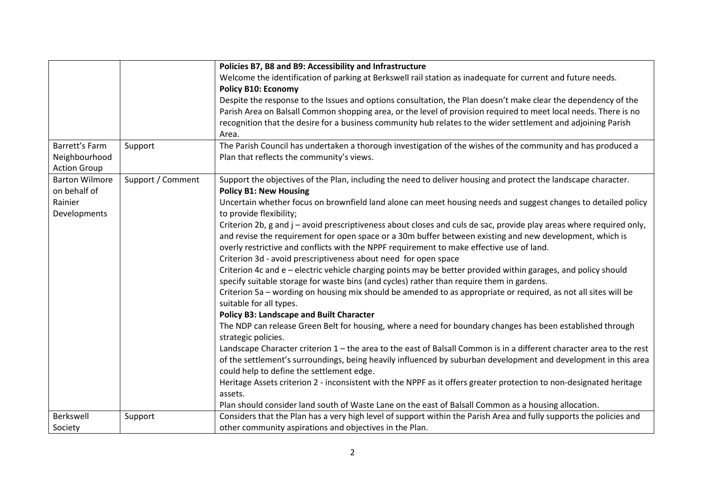|                       |                   | Policies B7, B8 and B9: Accessibility and Infrastructure                                                              |
|-----------------------|-------------------|-----------------------------------------------------------------------------------------------------------------------|
|                       |                   | Welcome the identification of parking at Berkswell rail station as inadequate for current and future needs.           |
|                       |                   | <b>Policy B10: Economy</b>                                                                                            |
|                       |                   | Despite the response to the Issues and options consultation, the Plan doesn't make clear the dependency of the        |
|                       |                   | Parish Area on Balsall Common shopping area, or the level of provision required to meet local needs. There is no      |
|                       |                   | recognition that the desire for a business community hub relates to the wider settlement and adjoining Parish         |
|                       |                   | Area.                                                                                                                 |
| Barrett's Farm        | Support           | The Parish Council has undertaken a thorough investigation of the wishes of the community and has produced a          |
| Neighbourhood         |                   | Plan that reflects the community's views.                                                                             |
| <b>Action Group</b>   |                   |                                                                                                                       |
| <b>Barton Wilmore</b> | Support / Comment | Support the objectives of the Plan, including the need to deliver housing and protect the landscape character.        |
| on behalf of          |                   | <b>Policy B1: New Housing</b>                                                                                         |
| Rainier               |                   | Uncertain whether focus on brownfield land alone can meet housing needs and suggest changes to detailed policy        |
| Developments          |                   | to provide flexibility;                                                                                               |
|                       |                   | Criterion 2b, g and j - avoid prescriptiveness about closes and culs de sac, provide play areas where required only,  |
|                       |                   | and revise the requirement for open space or a 30m buffer between existing and new development, which is              |
|                       |                   | overly restrictive and conflicts with the NPPF requirement to make effective use of land.                             |
|                       |                   | Criterion 3d - avoid prescriptiveness about need for open space                                                       |
|                       |                   | Criterion 4c and e - electric vehicle charging points may be better provided within garages, and policy should        |
|                       |                   | specify suitable storage for waste bins (and cycles) rather than require them in gardens.                             |
|                       |                   | Criterion 5a - wording on housing mix should be amended to as appropriate or required, as not all sites will be       |
|                       |                   | suitable for all types.                                                                                               |
|                       |                   | <b>Policy B3: Landscape and Built Character</b>                                                                       |
|                       |                   | The NDP can release Green Belt for housing, where a need for boundary changes has been established through            |
|                       |                   | strategic policies.                                                                                                   |
|                       |                   | Landscape Character criterion 1 - the area to the east of Balsall Common is in a different character area to the rest |
|                       |                   | of the settlement's surroundings, being heavily influenced by suburban development and development in this area       |
|                       |                   | could help to define the settlement edge.                                                                             |
|                       |                   | Heritage Assets criterion 2 - inconsistent with the NPPF as it offers greater protection to non-designated heritage   |
|                       |                   | assets.                                                                                                               |
|                       |                   | Plan should consider land south of Waste Lane on the east of Balsall Common as a housing allocation.                  |
| Berkswell             | Support           | Considers that the Plan has a very high level of support within the Parish Area and fully supports the policies and   |
| Society               |                   | other community aspirations and objectives in the Plan.                                                               |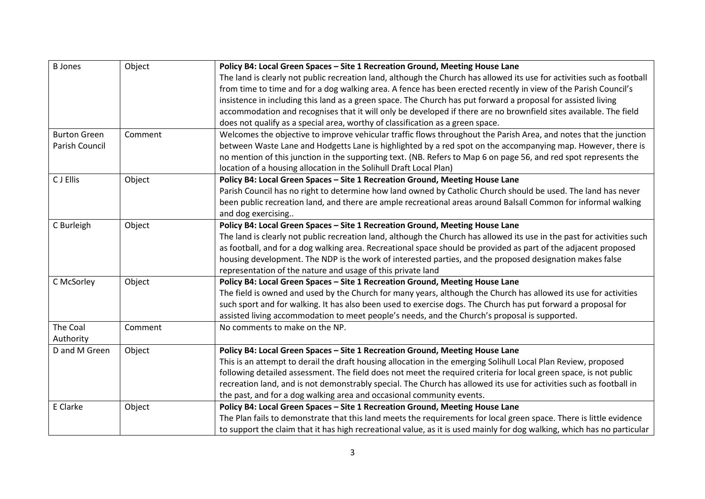| <b>B</b> Jones      | Object  | Policy B4: Local Green Spaces - Site 1 Recreation Ground, Meeting House Lane                                            |
|---------------------|---------|-------------------------------------------------------------------------------------------------------------------------|
|                     |         | The land is clearly not public recreation land, although the Church has allowed its use for activities such as football |
|                     |         | from time to time and for a dog walking area. A fence has been erected recently in view of the Parish Council's         |
|                     |         | insistence in including this land as a green space. The Church has put forward a proposal for assisted living           |
|                     |         | accommodation and recognises that it will only be developed if there are no brownfield sites available. The field       |
|                     |         | does not qualify as a special area, worthy of classification as a green space.                                          |
| <b>Burton Green</b> | Comment | Welcomes the objective to improve vehicular traffic flows throughout the Parish Area, and notes that the junction       |
| Parish Council      |         | between Waste Lane and Hodgetts Lane is highlighted by a red spot on the accompanying map. However, there is            |
|                     |         | no mention of this junction in the supporting text. (NB. Refers to Map 6 on page 56, and red spot represents the        |
|                     |         | location of a housing allocation in the Solihull Draft Local Plan)                                                      |
| C J Ellis           | Object  | Policy B4: Local Green Spaces - Site 1 Recreation Ground, Meeting House Lane                                            |
|                     |         | Parish Council has no right to determine how land owned by Catholic Church should be used. The land has never           |
|                     |         | been public recreation land, and there are ample recreational areas around Balsall Common for informal walking          |
|                     |         | and dog exercising                                                                                                      |
| C Burleigh          | Object  | Policy B4: Local Green Spaces - Site 1 Recreation Ground, Meeting House Lane                                            |
|                     |         | The land is clearly not public recreation land, although the Church has allowed its use in the past for activities such |
|                     |         | as football, and for a dog walking area. Recreational space should be provided as part of the adjacent proposed         |
|                     |         | housing development. The NDP is the work of interested parties, and the proposed designation makes false                |
|                     |         | representation of the nature and usage of this private land                                                             |
| C McSorley          | Object  | Policy B4: Local Green Spaces - Site 1 Recreation Ground, Meeting House Lane                                            |
|                     |         | The field is owned and used by the Church for many years, although the Church has allowed its use for activities        |
|                     |         | such sport and for walking. It has also been used to exercise dogs. The Church has put forward a proposal for           |
|                     |         | assisted living accommodation to meet people's needs, and the Church's proposal is supported.                           |
| The Coal            | Comment | No comments to make on the NP.                                                                                          |
| Authority           |         |                                                                                                                         |
| D and M Green       | Object  | Policy B4: Local Green Spaces - Site 1 Recreation Ground, Meeting House Lane                                            |
|                     |         | This is an attempt to derail the draft housing allocation in the emerging Solihull Local Plan Review, proposed          |
|                     |         | following detailed assessment. The field does not meet the required criteria for local green space, is not public       |
|                     |         | recreation land, and is not demonstrably special. The Church has allowed its use for activities such as football in     |
|                     |         | the past, and for a dog walking area and occasional community events.                                                   |
| E Clarke            | Object  | Policy B4: Local Green Spaces - Site 1 Recreation Ground, Meeting House Lane                                            |
|                     |         | The Plan fails to demonstrate that this land meets the requirements for local green space. There is little evidence     |
|                     |         | to support the claim that it has high recreational value, as it is used mainly for dog walking, which has no particular |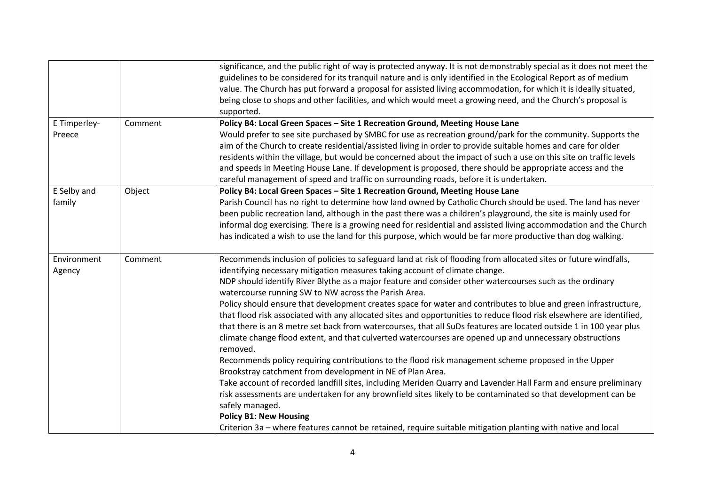|              |         | significance, and the public right of way is protected anyway. It is not demonstrably special as it does not meet the |
|--------------|---------|-----------------------------------------------------------------------------------------------------------------------|
|              |         | guidelines to be considered for its tranquil nature and is only identified in the Ecological Report as of medium      |
|              |         | value. The Church has put forward a proposal for assisted living accommodation, for which it is ideally situated,     |
|              |         | being close to shops and other facilities, and which would meet a growing need, and the Church's proposal is          |
|              |         | supported.                                                                                                            |
| E Timperley- | Comment | Policy B4: Local Green Spaces - Site 1 Recreation Ground, Meeting House Lane                                          |
| Preece       |         | Would prefer to see site purchased by SMBC for use as recreation ground/park for the community. Supports the          |
|              |         | aim of the Church to create residential/assisted living in order to provide suitable homes and care for older         |
|              |         | residents within the village, but would be concerned about the impact of such a use on this site on traffic levels    |
|              |         | and speeds in Meeting House Lane. If development is proposed, there should be appropriate access and the              |
|              |         | careful management of speed and traffic on surrounding roads, before it is undertaken.                                |
| E Selby and  | Object  | Policy B4: Local Green Spaces - Site 1 Recreation Ground, Meeting House Lane                                          |
| family       |         | Parish Council has no right to determine how land owned by Catholic Church should be used. The land has never         |
|              |         | been public recreation land, although in the past there was a children's playground, the site is mainly used for      |
|              |         |                                                                                                                       |
|              |         | informal dog exercising. There is a growing need for residential and assisted living accommodation and the Church     |
|              |         | has indicated a wish to use the land for this purpose, which would be far more productive than dog walking.           |
| Environment  | Comment | Recommends inclusion of policies to safeguard land at risk of flooding from allocated sites or future windfalls,      |
|              |         |                                                                                                                       |
| Agency       |         | identifying necessary mitigation measures taking account of climate change.                                           |
|              |         | NDP should identify River Blythe as a major feature and consider other watercourses such as the ordinary              |
|              |         | watercourse running SW to NW across the Parish Area.                                                                  |
|              |         | Policy should ensure that development creates space for water and contributes to blue and green infrastructure,       |
|              |         | that flood risk associated with any allocated sites and opportunities to reduce flood risk elsewhere are identified,  |
|              |         | that there is an 8 metre set back from watercourses, that all SuDs features are located outside 1 in 100 year plus    |
|              |         | climate change flood extent, and that culverted watercourses are opened up and unnecessary obstructions               |
|              |         | removed.                                                                                                              |
|              |         | Recommends policy requiring contributions to the flood risk management scheme proposed in the Upper                   |
|              |         | Brookstray catchment from development in NE of Plan Area.                                                             |
|              |         | Take account of recorded landfill sites, including Meriden Quarry and Lavender Hall Farm and ensure preliminary       |
|              |         | risk assessments are undertaken for any brownfield sites likely to be contaminated so that development can be         |
|              |         | safely managed.                                                                                                       |
|              |         | <b>Policy B1: New Housing</b>                                                                                         |
|              |         | Criterion 3a - where features cannot be retained, require suitable mitigation planting with native and local          |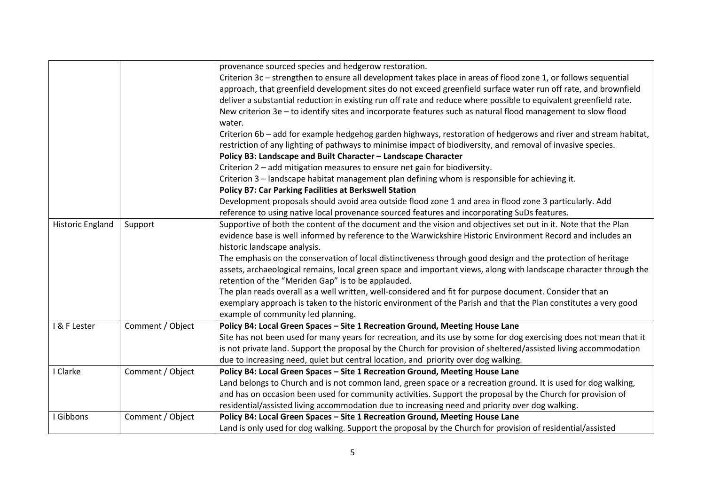|                         |                  | provenance sourced species and hedgerow restoration.                                                               |
|-------------------------|------------------|--------------------------------------------------------------------------------------------------------------------|
|                         |                  | Criterion 3c - strengthen to ensure all development takes place in areas of flood zone 1, or follows sequential    |
|                         |                  | approach, that greenfield development sites do not exceed greenfield surface water run off rate, and brownfield    |
|                         |                  | deliver a substantial reduction in existing run off rate and reduce where possible to equivalent greenfield rate.  |
|                         |                  | New criterion 3e - to identify sites and incorporate features such as natural flood management to slow flood       |
|                         |                  | water.                                                                                                             |
|                         |                  | Criterion 6b - add for example hedgehog garden highways, restoration of hedgerows and river and stream habitat,    |
|                         |                  | restriction of any lighting of pathways to minimise impact of biodiversity, and removal of invasive species.       |
|                         |                  | Policy B3: Landscape and Built Character - Landscape Character                                                     |
|                         |                  | Criterion 2 - add mitigation measures to ensure net gain for biodiversity.                                         |
|                         |                  | Criterion 3 - landscape habitat management plan defining whom is responsible for achieving it.                     |
|                         |                  | <b>Policy B7: Car Parking Facilities at Berkswell Station</b>                                                      |
|                         |                  | Development proposals should avoid area outside flood zone 1 and area in flood zone 3 particularly. Add            |
|                         |                  | reference to using native local provenance sourced features and incorporating SuDs features.                       |
| <b>Historic England</b> | Support          | Supportive of both the content of the document and the vision and objectives set out in it. Note that the Plan     |
|                         |                  | evidence base is well informed by reference to the Warwickshire Historic Environment Record and includes an        |
|                         |                  | historic landscape analysis.                                                                                       |
|                         |                  | The emphasis on the conservation of local distinctiveness through good design and the protection of heritage       |
|                         |                  | assets, archaeological remains, local green space and important views, along with landscape character through the  |
|                         |                  | retention of the "Meriden Gap" is to be applauded.                                                                 |
|                         |                  | The plan reads overall as a well written, well-considered and fit for purpose document. Consider that an           |
|                         |                  | exemplary approach is taken to the historic environment of the Parish and that the Plan constitutes a very good    |
|                         |                  | example of community led planning.                                                                                 |
| I & F Lester            | Comment / Object | Policy B4: Local Green Spaces - Site 1 Recreation Ground, Meeting House Lane                                       |
|                         |                  | Site has not been used for many years for recreation, and its use by some for dog exercising does not mean that it |
|                         |                  | is not private land. Support the proposal by the Church for provision of sheltered/assisted living accommodation   |
|                         |                  | due to increasing need, quiet but central location, and priority over dog walking.                                 |
| I Clarke                | Comment / Object | Policy B4: Local Green Spaces - Site 1 Recreation Ground, Meeting House Lane                                       |
|                         |                  | Land belongs to Church and is not common land, green space or a recreation ground. It is used for dog walking,     |
|                         |                  | and has on occasion been used for community activities. Support the proposal by the Church for provision of        |
|                         |                  | residential/assisted living accommodation due to increasing need and priority over dog walking.                    |
| <b>Gibbons</b>          | Comment / Object | Policy B4: Local Green Spaces - Site 1 Recreation Ground, Meeting House Lane                                       |
|                         |                  | Land is only used for dog walking. Support the proposal by the Church for provision of residential/assisted        |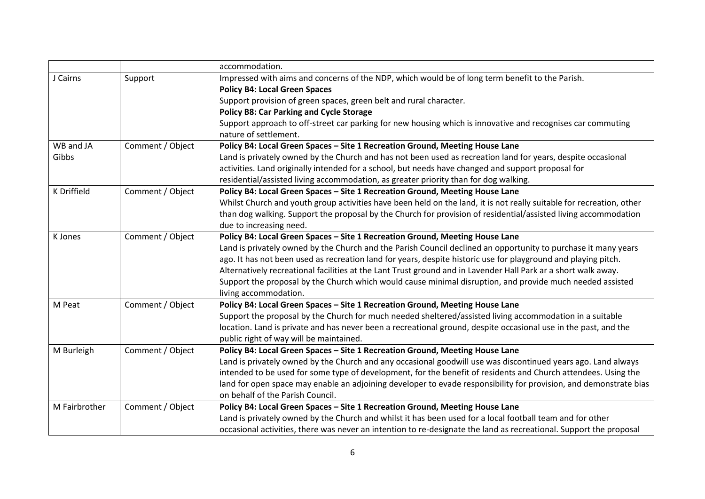|               |                  | accommodation.                                                                                                       |
|---------------|------------------|----------------------------------------------------------------------------------------------------------------------|
| J Cairns      | Support          | Impressed with aims and concerns of the NDP, which would be of long term benefit to the Parish.                      |
|               |                  | <b>Policy B4: Local Green Spaces</b>                                                                                 |
|               |                  | Support provision of green spaces, green belt and rural character.                                                   |
|               |                  | <b>Policy B8: Car Parking and Cycle Storage</b>                                                                      |
|               |                  | Support approach to off-street car parking for new housing which is innovative and recognises car commuting          |
|               |                  | nature of settlement.                                                                                                |
| WB and JA     | Comment / Object | Policy B4: Local Green Spaces - Site 1 Recreation Ground, Meeting House Lane                                         |
| Gibbs         |                  | Land is privately owned by the Church and has not been used as recreation land for years, despite occasional         |
|               |                  | activities. Land originally intended for a school, but needs have changed and support proposal for                   |
|               |                  | residential/assisted living accommodation, as greater priority than for dog walking.                                 |
| K Driffield   | Comment / Object | Policy B4: Local Green Spaces - Site 1 Recreation Ground, Meeting House Lane                                         |
|               |                  | Whilst Church and youth group activities have been held on the land, it is not really suitable for recreation, other |
|               |                  | than dog walking. Support the proposal by the Church for provision of residential/assisted living accommodation      |
|               |                  | due to increasing need.                                                                                              |
| K Jones       | Comment / Object | Policy B4: Local Green Spaces - Site 1 Recreation Ground, Meeting House Lane                                         |
|               |                  | Land is privately owned by the Church and the Parish Council declined an opportunity to purchase it many years       |
|               |                  | ago. It has not been used as recreation land for years, despite historic use for playground and playing pitch.       |
|               |                  | Alternatively recreational facilities at the Lant Trust ground and in Lavender Hall Park ar a short walk away.       |
|               |                  | Support the proposal by the Church which would cause minimal disruption, and provide much needed assisted            |
|               |                  | living accommodation.                                                                                                |
| M Peat        | Comment / Object | Policy B4: Local Green Spaces - Site 1 Recreation Ground, Meeting House Lane                                         |
|               |                  | Support the proposal by the Church for much needed sheltered/assisted living accommodation in a suitable             |
|               |                  | location. Land is private and has never been a recreational ground, despite occasional use in the past, and the      |
|               |                  | public right of way will be maintained.                                                                              |
| M Burleigh    | Comment / Object | Policy B4: Local Green Spaces - Site 1 Recreation Ground, Meeting House Lane                                         |
|               |                  | Land is privately owned by the Church and any occasional goodwill use was discontinued years ago. Land always        |
|               |                  | intended to be used for some type of development, for the benefit of residents and Church attendees. Using the       |
|               |                  | land for open space may enable an adjoining developer to evade responsibility for provision, and demonstrate bias    |
|               |                  | on behalf of the Parish Council.                                                                                     |
| M Fairbrother | Comment / Object | Policy B4: Local Green Spaces - Site 1 Recreation Ground, Meeting House Lane                                         |
|               |                  | Land is privately owned by the Church and whilst it has been used for a local football team and for other            |
|               |                  | occasional activities, there was never an intention to re-designate the land as recreational. Support the proposal   |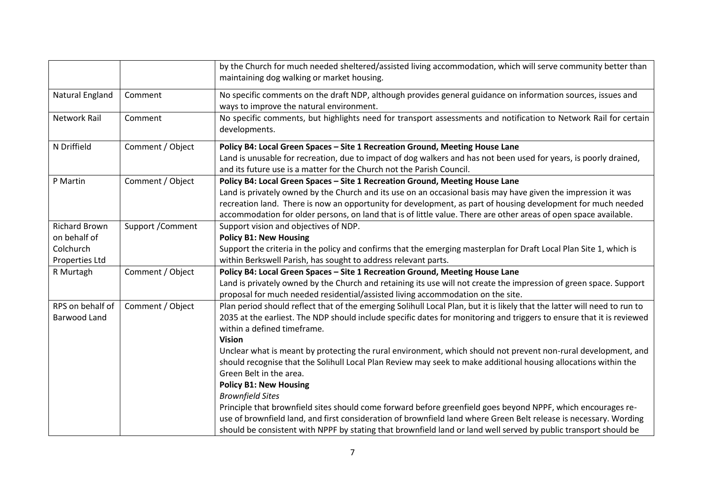|                                                                     |                   | by the Church for much needed sheltered/assisted living accommodation, which will serve community better than<br>maintaining dog walking or market housing.                                                                                                                                                                                                                                                                       |
|---------------------------------------------------------------------|-------------------|-----------------------------------------------------------------------------------------------------------------------------------------------------------------------------------------------------------------------------------------------------------------------------------------------------------------------------------------------------------------------------------------------------------------------------------|
| <b>Natural England</b>                                              | Comment           | No specific comments on the draft NDP, although provides general guidance on information sources, issues and<br>ways to improve the natural environment.                                                                                                                                                                                                                                                                          |
| <b>Network Rail</b>                                                 | Comment           | No specific comments, but highlights need for transport assessments and notification to Network Rail for certain<br>developments.                                                                                                                                                                                                                                                                                                 |
| N Driffield                                                         | Comment / Object  | Policy B4: Local Green Spaces - Site 1 Recreation Ground, Meeting House Lane<br>Land is unusable for recreation, due to impact of dog walkers and has not been used for years, is poorly drained,<br>and its future use is a matter for the Church not the Parish Council.                                                                                                                                                        |
| P Martin                                                            | Comment / Object  | Policy B4: Local Green Spaces - Site 1 Recreation Ground, Meeting House Lane<br>Land is privately owned by the Church and its use on an occasional basis may have given the impression it was<br>recreation land. There is now an opportunity for development, as part of housing development for much needed<br>accommodation for older persons, on land that is of little value. There are other areas of open space available. |
| <b>Richard Brown</b><br>on behalf of<br>Colchurch<br>Properties Ltd | Support / Comment | Support vision and objectives of NDP.<br><b>Policy B1: New Housing</b><br>Support the criteria in the policy and confirms that the emerging masterplan for Draft Local Plan Site 1, which is<br>within Berkswell Parish, has sought to address relevant parts.                                                                                                                                                                    |
| R Murtagh                                                           | Comment / Object  | Policy B4: Local Green Spaces - Site 1 Recreation Ground, Meeting House Lane<br>Land is privately owned by the Church and retaining its use will not create the impression of green space. Support<br>proposal for much needed residential/assisted living accommodation on the site.                                                                                                                                             |
| RPS on behalf of<br><b>Barwood Land</b>                             | Comment / Object  | Plan period should reflect that of the emerging Solihull Local Plan, but it is likely that the latter will need to run to<br>2035 at the earliest. The NDP should include specific dates for monitoring and triggers to ensure that it is reviewed<br>within a defined timeframe.<br><b>Vision</b>                                                                                                                                |
|                                                                     |                   | Unclear what is meant by protecting the rural environment, which should not prevent non-rural development, and<br>should recognise that the Solihull Local Plan Review may seek to make additional housing allocations within the<br>Green Belt in the area.<br><b>Policy B1: New Housing</b>                                                                                                                                     |
|                                                                     |                   | <b>Brownfield Sites</b><br>Principle that brownfield sites should come forward before greenfield goes beyond NPPF, which encourages re-<br>use of brownfield land, and first consideration of brownfield land where Green Belt release is necessary. Wording<br>should be consistent with NPPF by stating that brownfield land or land well served by public transport should be                                                  |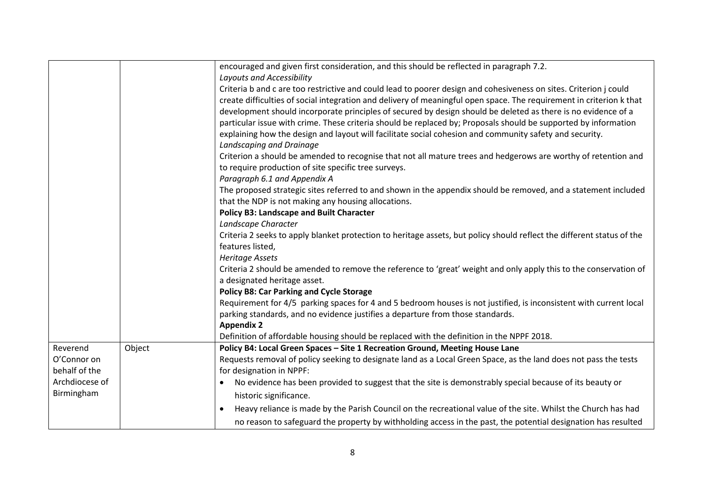|                |        | encouraged and given first consideration, and this should be reflected in paragraph 7.2.                               |
|----------------|--------|------------------------------------------------------------------------------------------------------------------------|
|                |        | Layouts and Accessibility                                                                                              |
|                |        | Criteria b and c are too restrictive and could lead to poorer design and cohesiveness on sites. Criterion j could      |
|                |        | create difficulties of social integration and delivery of meaningful open space. The requirement in criterion k that   |
|                |        | development should incorporate principles of secured by design should be deleted as there is no evidence of a          |
|                |        | particular issue with crime. These criteria should be replaced by; Proposals should be supported by information        |
|                |        | explaining how the design and layout will facilitate social cohesion and community safety and security.                |
|                |        | Landscaping and Drainage                                                                                               |
|                |        | Criterion a should be amended to recognise that not all mature trees and hedgerows are worthy of retention and         |
|                |        | to require production of site specific tree surveys.                                                                   |
|                |        | Paragraph 6.1 and Appendix A                                                                                           |
|                |        | The proposed strategic sites referred to and shown in the appendix should be removed, and a statement included         |
|                |        | that the NDP is not making any housing allocations.                                                                    |
|                |        | <b>Policy B3: Landscape and Built Character</b>                                                                        |
|                |        | Landscape Character                                                                                                    |
|                |        | Criteria 2 seeks to apply blanket protection to heritage assets, but policy should reflect the different status of the |
|                |        | features listed,                                                                                                       |
|                |        | <b>Heritage Assets</b>                                                                                                 |
|                |        | Criteria 2 should be amended to remove the reference to 'great' weight and only apply this to the conservation of      |
|                |        | a designated heritage asset.                                                                                           |
|                |        | <b>Policy B8: Car Parking and Cycle Storage</b>                                                                        |
|                |        | Requirement for 4/5 parking spaces for 4 and 5 bedroom houses is not justified, is inconsistent with current local     |
|                |        | parking standards, and no evidence justifies a departure from those standards.                                         |
|                |        | <b>Appendix 2</b>                                                                                                      |
|                |        | Definition of affordable housing should be replaced with the definition in the NPPF 2018.                              |
| Reverend       | Object | Policy B4: Local Green Spaces - Site 1 Recreation Ground, Meeting House Lane                                           |
| O'Connor on    |        | Requests removal of policy seeking to designate land as a Local Green Space, as the land does not pass the tests       |
| behalf of the  |        | for designation in NPPF:                                                                                               |
| Archdiocese of |        | No evidence has been provided to suggest that the site is demonstrably special because of its beauty or<br>$\bullet$   |
| Birmingham     |        | historic significance.                                                                                                 |
|                |        | Heavy reliance is made by the Parish Council on the recreational value of the site. Whilst the Church has had          |
|                |        | no reason to safeguard the property by withholding access in the past, the potential designation has resulted          |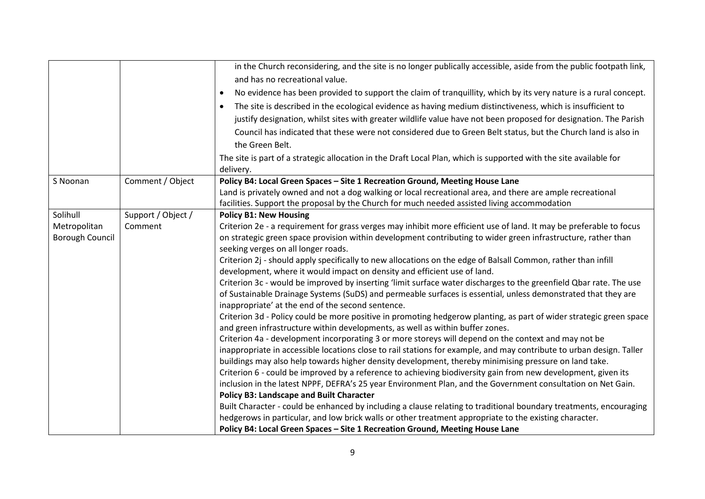|                        |                    | in the Church reconsidering, and the site is no longer publically accessible, aside from the public footpath link,                                                                                   |
|------------------------|--------------------|------------------------------------------------------------------------------------------------------------------------------------------------------------------------------------------------------|
|                        |                    | and has no recreational value.                                                                                                                                                                       |
|                        |                    | No evidence has been provided to support the claim of tranquillity, which by its very nature is a rural concept.<br>$\bullet$                                                                        |
|                        |                    | The site is described in the ecological evidence as having medium distinctiveness, which is insufficient to<br>$\bullet$                                                                             |
|                        |                    | justify designation, whilst sites with greater wildlife value have not been proposed for designation. The Parish                                                                                     |
|                        |                    | Council has indicated that these were not considered due to Green Belt status, but the Church land is also in                                                                                        |
|                        |                    | the Green Belt.                                                                                                                                                                                      |
|                        |                    | The site is part of a strategic allocation in the Draft Local Plan, which is supported with the site available for                                                                                   |
|                        |                    | delivery.                                                                                                                                                                                            |
| S Noonan               | Comment / Object   | Policy B4: Local Green Spaces - Site 1 Recreation Ground, Meeting House Lane                                                                                                                         |
|                        |                    | Land is privately owned and not a dog walking or local recreational area, and there are ample recreational                                                                                           |
|                        |                    | facilities. Support the proposal by the Church for much needed assisted living accommodation                                                                                                         |
| Solihull               | Support / Object / | <b>Policy B1: New Housing</b>                                                                                                                                                                        |
| Metropolitan           | Comment            | Criterion 2e - a requirement for grass verges may inhibit more efficient use of land. It may be preferable to focus                                                                                  |
| <b>Borough Council</b> |                    | on strategic green space provision within development contributing to wider green infrastructure, rather than                                                                                        |
|                        |                    | seeking verges on all longer roads.                                                                                                                                                                  |
|                        |                    | Criterion 2j - should apply specifically to new allocations on the edge of Balsall Common, rather than infill                                                                                        |
|                        |                    | development, where it would impact on density and efficient use of land.                                                                                                                             |
|                        |                    | Criterion 3c - would be improved by inserting 'limit surface water discharges to the greenfield Qbar rate. The use                                                                                   |
|                        |                    | of Sustainable Drainage Systems (SuDS) and permeable surfaces is essential, unless demonstrated that they are                                                                                        |
|                        |                    | inappropriate' at the end of the second sentence.                                                                                                                                                    |
|                        |                    | Criterion 3d - Policy could be more positive in promoting hedgerow planting, as part of wider strategic green space<br>and green infrastructure within developments, as well as within buffer zones. |
|                        |                    | Criterion 4a - development incorporating 3 or more storeys will depend on the context and may not be                                                                                                 |
|                        |                    | inappropriate in accessible locations close to rail stations for example, and may contribute to urban design. Taller                                                                                 |
|                        |                    | buildings may also help towards higher density development, thereby minimising pressure on land take.                                                                                                |
|                        |                    | Criterion 6 - could be improved by a reference to achieving biodiversity gain from new development, given its                                                                                        |
|                        |                    | inclusion in the latest NPPF, DEFRA's 25 year Environment Plan, and the Government consultation on Net Gain.                                                                                         |
|                        |                    | <b>Policy B3: Landscape and Built Character</b>                                                                                                                                                      |
|                        |                    | Built Character - could be enhanced by including a clause relating to traditional boundary treatments, encouraging                                                                                   |
|                        |                    | hedgerows in particular, and low brick walls or other treatment appropriate to the existing character.                                                                                               |
|                        |                    | Policy B4: Local Green Spaces - Site 1 Recreation Ground, Meeting House Lane                                                                                                                         |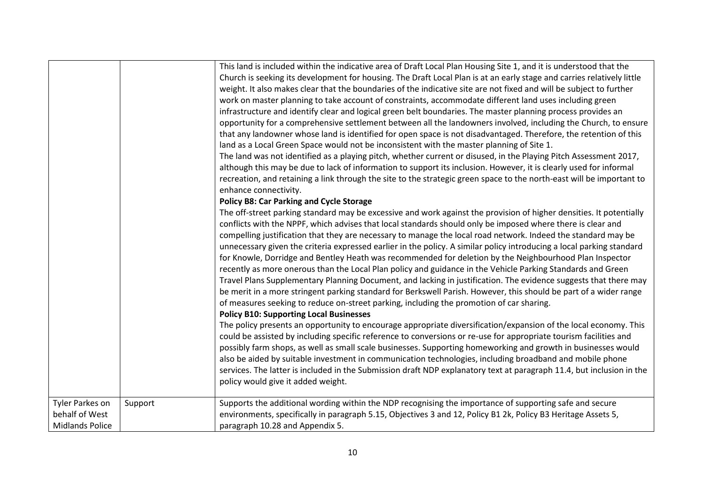|                                                             |         | This land is included within the indicative area of Draft Local Plan Housing Site 1, and it is understood that the<br>Church is seeking its development for housing. The Draft Local Plan is at an early stage and carries relatively little<br>weight. It also makes clear that the boundaries of the indicative site are not fixed and will be subject to further<br>work on master planning to take account of constraints, accommodate different land uses including green<br>infrastructure and identify clear and logical green belt boundaries. The master planning process provides an<br>opportunity for a comprehensive settlement between all the landowners involved, including the Church, to ensure<br>that any landowner whose land is identified for open space is not disadvantaged. Therefore, the retention of this<br>land as a Local Green Space would not be inconsistent with the master planning of Site 1.<br>The land was not identified as a playing pitch, whether current or disused, in the Playing Pitch Assessment 2017,<br>although this may be due to lack of information to support its inclusion. However, it is clearly used for informal<br>recreation, and retaining a link through the site to the strategic green space to the north-east will be important to<br>enhance connectivity.<br><b>Policy B8: Car Parking and Cycle Storage</b><br>The off-street parking standard may be excessive and work against the provision of higher densities. It potentially<br>conflicts with the NPPF, which advises that local standards should only be imposed where there is clear and<br>compelling justification that they are necessary to manage the local road network. Indeed the standard may be<br>unnecessary given the criteria expressed earlier in the policy. A similar policy introducing a local parking standard<br>for Knowle, Dorridge and Bentley Heath was recommended for deletion by the Neighbourhood Plan Inspector<br>recently as more onerous than the Local Plan policy and guidance in the Vehicle Parking Standards and Green<br>Travel Plans Supplementary Planning Document, and lacking in justification. The evidence suggests that there may<br>be merit in a more stringent parking standard for Berkswell Parish. However, this should be part of a wider range<br>of measures seeking to reduce on-street parking, including the promotion of car sharing.<br><b>Policy B10: Supporting Local Businesses</b><br>The policy presents an opportunity to encourage appropriate diversification/expansion of the local economy. This<br>could be assisted by including specific reference to conversions or re-use for appropriate tourism facilities and<br>possibly farm shops, as well as small scale businesses. Supporting homeworking and growth in businesses would<br>also be aided by suitable investment in communication technologies, including broadband and mobile phone<br>services. The latter is included in the Submission draft NDP explanatory text at paragraph 11.4, but inclusion in the<br>policy would give it added weight. |
|-------------------------------------------------------------|---------|---------------------------------------------------------------------------------------------------------------------------------------------------------------------------------------------------------------------------------------------------------------------------------------------------------------------------------------------------------------------------------------------------------------------------------------------------------------------------------------------------------------------------------------------------------------------------------------------------------------------------------------------------------------------------------------------------------------------------------------------------------------------------------------------------------------------------------------------------------------------------------------------------------------------------------------------------------------------------------------------------------------------------------------------------------------------------------------------------------------------------------------------------------------------------------------------------------------------------------------------------------------------------------------------------------------------------------------------------------------------------------------------------------------------------------------------------------------------------------------------------------------------------------------------------------------------------------------------------------------------------------------------------------------------------------------------------------------------------------------------------------------------------------------------------------------------------------------------------------------------------------------------------------------------------------------------------------------------------------------------------------------------------------------------------------------------------------------------------------------------------------------------------------------------------------------------------------------------------------------------------------------------------------------------------------------------------------------------------------------------------------------------------------------------------------------------------------------------------------------------------------------------------------------------------------------------------------------------------------------------------------------------------------------------------------------------------------------------------------------------------------------------------------------------------------------------------------------------------------------------------------------------------------------------------------------------------------------------------------------------------------------------------------------------------------------------------------------------------------------------------|
| Tyler Parkes on<br>behalf of West<br><b>Midlands Police</b> | Support | Supports the additional wording within the NDP recognising the importance of supporting safe and secure<br>environments, specifically in paragraph 5.15, Objectives 3 and 12, Policy B1 2k, Policy B3 Heritage Assets 5,<br>paragraph 10.28 and Appendix 5.                                                                                                                                                                                                                                                                                                                                                                                                                                                                                                                                                                                                                                                                                                                                                                                                                                                                                                                                                                                                                                                                                                                                                                                                                                                                                                                                                                                                                                                                                                                                                                                                                                                                                                                                                                                                                                                                                                                                                                                                                                                                                                                                                                                                                                                                                                                                                                                                                                                                                                                                                                                                                                                                                                                                                                                                                                                               |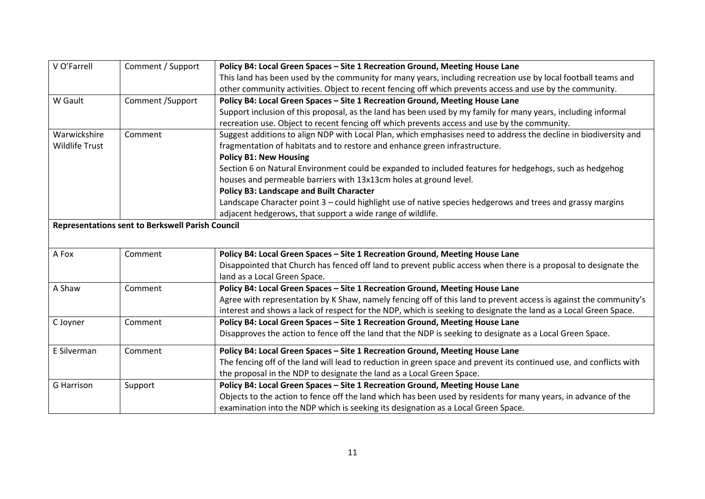| V O'Farrell           | Comment / Support                                | Policy B4: Local Green Spaces - Site 1 Recreation Ground, Meeting House Lane                                        |
|-----------------------|--------------------------------------------------|---------------------------------------------------------------------------------------------------------------------|
|                       |                                                  | This land has been used by the community for many years, including recreation use by local football teams and       |
|                       |                                                  | other community activities. Object to recent fencing off which prevents access and use by the community.            |
| W Gault               | Comment /Support                                 | Policy B4: Local Green Spaces - Site 1 Recreation Ground, Meeting House Lane                                        |
|                       |                                                  | Support inclusion of this proposal, as the land has been used by my family for many years, including informal       |
|                       |                                                  | recreation use. Object to recent fencing off which prevents access and use by the community.                        |
| Warwickshire          | Comment                                          | Suggest additions to align NDP with Local Plan, which emphasises need to address the decline in biodiversity and    |
| <b>Wildlife Trust</b> |                                                  | fragmentation of habitats and to restore and enhance green infrastructure.                                          |
|                       |                                                  | <b>Policy B1: New Housing</b>                                                                                       |
|                       |                                                  | Section 6 on Natural Environment could be expanded to included features for hedgehogs, such as hedgehog             |
|                       |                                                  | houses and permeable barriers with 13x13cm holes at ground level.                                                   |
|                       |                                                  | <b>Policy B3: Landscape and Built Character</b>                                                                     |
|                       |                                                  | Landscape Character point 3 - could highlight use of native species hedgerows and trees and grassy margins          |
|                       |                                                  | adjacent hedgerows, that support a wide range of wildlife.                                                          |
|                       | Representations sent to Berkswell Parish Council |                                                                                                                     |
|                       |                                                  |                                                                                                                     |
| A Fox                 | Comment                                          | Policy B4: Local Green Spaces - Site 1 Recreation Ground, Meeting House Lane                                        |
|                       |                                                  | Disappointed that Church has fenced off land to prevent public access when there is a proposal to designate the     |
|                       |                                                  | land as a Local Green Space.                                                                                        |
| A Shaw                | Comment                                          | Policy B4: Local Green Spaces - Site 1 Recreation Ground, Meeting House Lane                                        |
|                       |                                                  | Agree with representation by K Shaw, namely fencing off of this land to prevent access is against the community's   |
|                       |                                                  | interest and shows a lack of respect for the NDP, which is seeking to designate the land as a Local Green Space.    |
| C Joyner              | Comment                                          | Policy B4: Local Green Spaces - Site 1 Recreation Ground, Meeting House Lane                                        |
|                       |                                                  | Disapproves the action to fence off the land that the NDP is seeking to designate as a Local Green Space.           |
| E Silverman           | Comment                                          | Policy B4: Local Green Spaces - Site 1 Recreation Ground, Meeting House Lane                                        |
|                       |                                                  | The fencing off of the land will lead to reduction in green space and prevent its continued use, and conflicts with |
|                       |                                                  | the proposal in the NDP to designate the land as a Local Green Space.                                               |
| <b>G</b> Harrison     | Support                                          | Policy B4: Local Green Spaces - Site 1 Recreation Ground, Meeting House Lane                                        |
|                       |                                                  | Objects to the action to fence off the land which has been used by residents for many years, in advance of the      |
|                       |                                                  | examination into the NDP which is seeking its designation as a Local Green Space.                                   |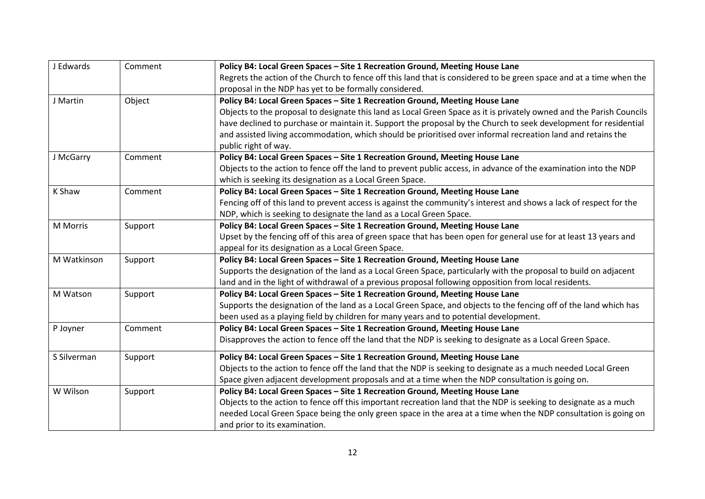| J Edwards   | Comment | Policy B4: Local Green Spaces - Site 1 Recreation Ground, Meeting House Lane                                         |
|-------------|---------|----------------------------------------------------------------------------------------------------------------------|
|             |         | Regrets the action of the Church to fence off this land that is considered to be green space and at a time when the  |
|             |         | proposal in the NDP has yet to be formally considered.                                                               |
| J Martin    | Object  | Policy B4: Local Green Spaces - Site 1 Recreation Ground, Meeting House Lane                                         |
|             |         | Objects to the proposal to designate this land as Local Green Space as it is privately owned and the Parish Councils |
|             |         | have declined to purchase or maintain it. Support the proposal by the Church to seek development for residential     |
|             |         | and assisted living accommodation, which should be prioritised over informal recreation land and retains the         |
|             |         | public right of way.                                                                                                 |
| J McGarry   | Comment | Policy B4: Local Green Spaces - Site 1 Recreation Ground, Meeting House Lane                                         |
|             |         | Objects to the action to fence off the land to prevent public access, in advance of the examination into the NDP     |
|             |         | which is seeking its designation as a Local Green Space.                                                             |
| K Shaw      | Comment | Policy B4: Local Green Spaces - Site 1 Recreation Ground, Meeting House Lane                                         |
|             |         | Fencing off of this land to prevent access is against the community's interest and shows a lack of respect for the   |
|             |         | NDP, which is seeking to designate the land as a Local Green Space.                                                  |
| M Morris    | Support | Policy B4: Local Green Spaces - Site 1 Recreation Ground, Meeting House Lane                                         |
|             |         | Upset by the fencing off of this area of green space that has been open for general use for at least 13 years and    |
|             |         | appeal for its designation as a Local Green Space.                                                                   |
| M Watkinson | Support | Policy B4: Local Green Spaces - Site 1 Recreation Ground, Meeting House Lane                                         |
|             |         | Supports the designation of the land as a Local Green Space, particularly with the proposal to build on adjacent     |
|             |         | land and in the light of withdrawal of a previous proposal following opposition from local residents.                |
| M Watson    | Support | Policy B4: Local Green Spaces - Site 1 Recreation Ground, Meeting House Lane                                         |
|             |         | Supports the designation of the land as a Local Green Space, and objects to the fencing off of the land which has    |
|             |         | been used as a playing field by children for many years and to potential development.                                |
| P Joyner    | Comment | Policy B4: Local Green Spaces - Site 1 Recreation Ground, Meeting House Lane                                         |
|             |         | Disapproves the action to fence off the land that the NDP is seeking to designate as a Local Green Space.            |
| S Silverman | Support | Policy B4: Local Green Spaces - Site 1 Recreation Ground, Meeting House Lane                                         |
|             |         | Objects to the action to fence off the land that the NDP is seeking to designate as a much needed Local Green        |
|             |         | Space given adjacent development proposals and at a time when the NDP consultation is going on.                      |
| W Wilson    | Support | Policy B4: Local Green Spaces - Site 1 Recreation Ground, Meeting House Lane                                         |
|             |         | Objects to the action to fence off this important recreation land that the NDP is seeking to designate as a much     |
|             |         | needed Local Green Space being the only green space in the area at a time when the NDP consultation is going on      |
|             |         | and prior to its examination.                                                                                        |